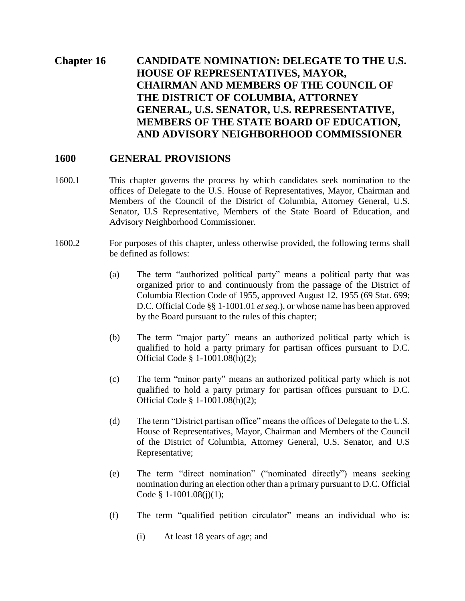# **Chapter 16 CANDIDATE NOMINATION: DELEGATE TO THE U.S. HOUSE OF REPRESENTATIVES, MAYOR, CHAIRMAN AND MEMBERS OF THE COUNCIL OF THE DISTRICT OF COLUMBIA, ATTORNEY GENERAL, U.S. SENATOR, U.S. REPRESENTATIVE, MEMBERS OF THE STATE BOARD OF EDUCATION, AND ADVISORY NEIGHBORHOOD COMMISSIONER**

#### **1600 GENERAL PROVISIONS**

- 1600.1 This chapter governs the process by which candidates seek nomination to the offices of Delegate to the U.S. House of Representatives, Mayor, Chairman and Members of the Council of the District of Columbia, Attorney General, U.S. Senator, U.S Representative, Members of the State Board of Education, and Advisory Neighborhood Commissioner.
- 1600.2 For purposes of this chapter, unless otherwise provided, the following terms shall be defined as follows:
	- (a) The term "authorized political party" means a political party that was organized prior to and continuously from the passage of the District of Columbia Election Code of 1955, approved August 12, 1955 (69 Stat. 699; D.C. Official Code §§ 1-1001.01 *et seq*.), or whose name has been approved by the Board pursuant to the rules of this chapter;
	- (b) The term "major party" means an authorized political party which is qualified to hold a party primary for partisan offices pursuant to D.C. Official Code § 1-1001.08(h)(2);
	- (c) The term "minor party" means an authorized political party which is not qualified to hold a party primary for partisan offices pursuant to D.C. Official Code § 1-1001.08(h)(2);
	- (d) The term "District partisan office" means the offices of Delegate to the U.S. House of Representatives, Mayor, Chairman and Members of the Council of the District of Columbia, Attorney General, U.S. Senator, and U.S Representative;
	- (e) The term "direct nomination" ("nominated directly") means seeking nomination during an election other than a primary pursuant to D.C. Official Code § 1-1001.08(j)(1);
	- (f) The term "qualified petition circulator" means an individual who is:
		- (i) At least 18 years of age; and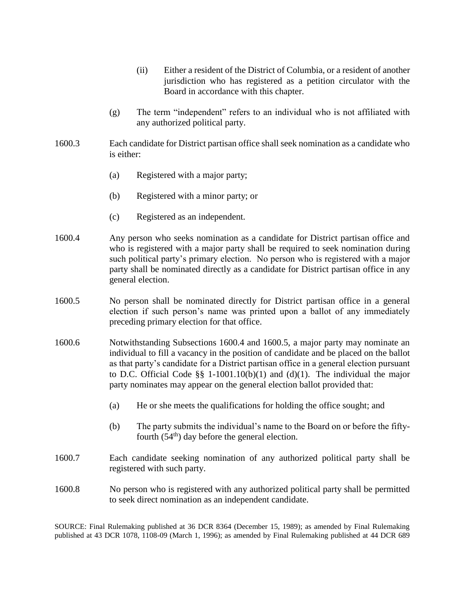- (ii) Either a resident of the District of Columbia, or a resident of another jurisdiction who has registered as a petition circulator with the Board in accordance with this chapter.
- (g) The term "independent" refers to an individual who is not affiliated with any authorized political party.
- 1600.3 Each candidate for District partisan office shall seek nomination as a candidate who is either:
	- (a) Registered with a major party;
	- (b) Registered with a minor party; or
	- (c) Registered as an independent.
- 1600.4 Any person who seeks nomination as a candidate for District partisan office and who is registered with a major party shall be required to seek nomination during such political party's primary election. No person who is registered with a major party shall be nominated directly as a candidate for District partisan office in any general election.
- 1600.5 No person shall be nominated directly for District partisan office in a general election if such person's name was printed upon a ballot of any immediately preceding primary election for that office.
- 1600.6 Notwithstanding Subsections 1600.4 and 1600.5, a major party may nominate an individual to fill a vacancy in the position of candidate and be placed on the ballot as that party's candidate for a District partisan office in a general election pursuant to D.C. Official Code  $\S$ § 1-1001.10(b)(1) and (d)(1). The individual the major party nominates may appear on the general election ballot provided that:
	- (a) He or she meets the qualifications for holding the office sought; and
	- (b) The party submits the individual's name to the Board on or before the fiftyfourth  $(54<sup>th</sup>)$  day before the general election.
- 1600.7 Each candidate seeking nomination of any authorized political party shall be registered with such party.
- 1600.8 No person who is registered with any authorized political party shall be permitted to seek direct nomination as an independent candidate.

SOURCE: Final Rulemaking published at 36 DCR 8364 (December 15, 1989); as amended by Final Rulemaking published at 43 DCR 1078, 1108-09 (March 1, 1996); as amended by Final Rulemaking published at 44 DCR 689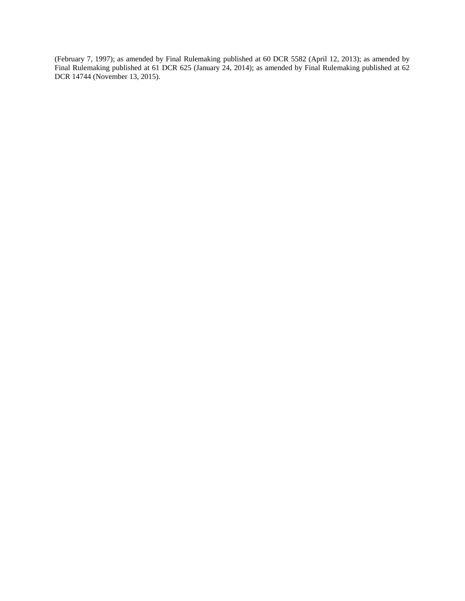(February 7, 1997); as amended by Final Rulemaking published at 60 DCR 5582 (April 12, 2013); as amended by Final Rulemaking published at 61 DCR 625 (January 24, 2014); as amended by Final Rulemaking published at 62 DCR 14744 (November 13, 2015).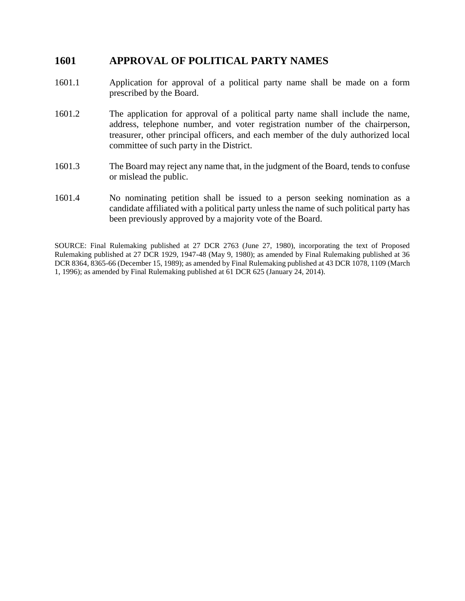#### **1601 APPROVAL OF POLITICAL PARTY NAMES**

- 1601.1 Application for approval of a political party name shall be made on a form prescribed by the Board.
- 1601.2 The application for approval of a political party name shall include the name, address, telephone number, and voter registration number of the chairperson, treasurer, other principal officers, and each member of the duly authorized local committee of such party in the District.
- 1601.3 The Board may reject any name that, in the judgment of the Board, tends to confuse or mislead the public.
- 1601.4 No nominating petition shall be issued to a person seeking nomination as a candidate affiliated with a political party unless the name of such political party has been previously approved by a majority vote of the Board.

SOURCE: Final Rulemaking published at 27 DCR 2763 (June 27, 1980), incorporating the text of Proposed Rulemaking published at 27 DCR 1929, 1947-48 (May 9, 1980); as amended by Final Rulemaking published at 36 DCR 8364, 8365-66 (December 15, 1989); as amended by Final Rulemaking published at 43 DCR 1078, 1109 (March 1, 1996); as amended by Final Rulemaking published at 61 DCR 625 (January 24, 2014).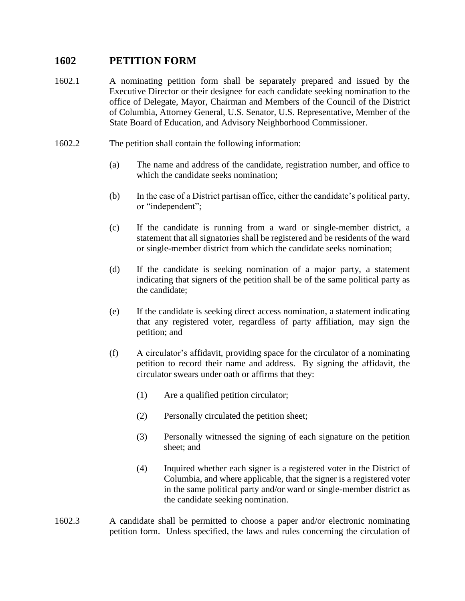## **1602 PETITION FORM**

- 1602.1 A nominating petition form shall be separately prepared and issued by the Executive Director or their designee for each candidate seeking nomination to the office of Delegate, Mayor, Chairman and Members of the Council of the District of Columbia, Attorney General, U.S. Senator, U.S. Representative, Member of the State Board of Education, and Advisory Neighborhood Commissioner.
- 1602.2 The petition shall contain the following information:
	- (a) The name and address of the candidate, registration number, and office to which the candidate seeks nomination;
	- (b) In the case of a District partisan office, either the candidate's political party, or "independent";
	- (c) If the candidate is running from a ward or single-member district, a statement that all signatories shall be registered and be residents of the ward or single-member district from which the candidate seeks nomination;
	- (d) If the candidate is seeking nomination of a major party, a statement indicating that signers of the petition shall be of the same political party as the candidate;
	- (e) If the candidate is seeking direct access nomination, a statement indicating that any registered voter, regardless of party affiliation, may sign the petition; and
	- (f) A circulator's affidavit, providing space for the circulator of a nominating petition to record their name and address. By signing the affidavit, the circulator swears under oath or affirms that they:
		- (1) Are a qualified petition circulator;
		- (2) Personally circulated the petition sheet;
		- (3) Personally witnessed the signing of each signature on the petition sheet; and
		- (4) Inquired whether each signer is a registered voter in the District of Columbia, and where applicable, that the signer is a registered voter in the same political party and/or ward or single-member district as the candidate seeking nomination.
- 1602.3 A candidate shall be permitted to choose a paper and/or electronic nominating petition form. Unless specified, the laws and rules concerning the circulation of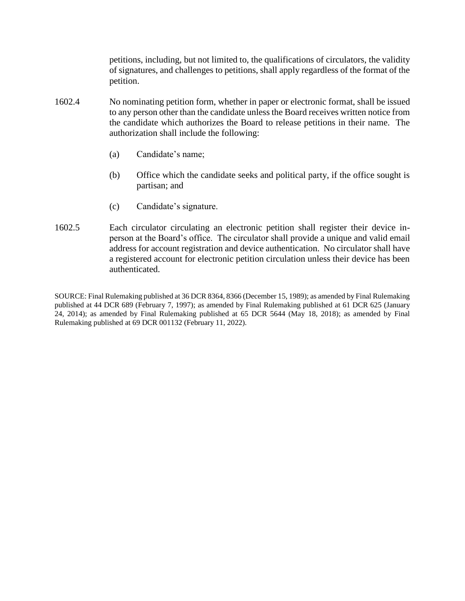petitions, including, but not limited to, the qualifications of circulators, the validity of signatures, and challenges to petitions, shall apply regardless of the format of the petition.

- 1602.4 No nominating petition form, whether in paper or electronic format, shall be issued to any person other than the candidate unless the Board receives written notice from the candidate which authorizes the Board to release petitions in their name. The authorization shall include the following:
	- (a) Candidate's name;
	- (b) Office which the candidate seeks and political party, if the office sought is partisan; and
	- (c) Candidate's signature.
- 1602.5 Each circulator circulating an electronic petition shall register their device inperson at the Board's office. The circulator shall provide a unique and valid email address for account registration and device authentication. No circulator shall have a registered account for electronic petition circulation unless their device has been authenticated.

SOURCE: Final Rulemaking published at 36 DCR 8364, 8366 (December 15, 1989); as amended by Final Rulemaking published at 44 DCR 689 (February 7, 1997); as amended by Final Rulemaking published at 61 DCR 625 (January 24, 2014); as amended by Final Rulemaking published at 65 DCR 5644 (May 18, 2018); as amended by Final Rulemaking published at 69 DCR 001132 (February 11, 2022).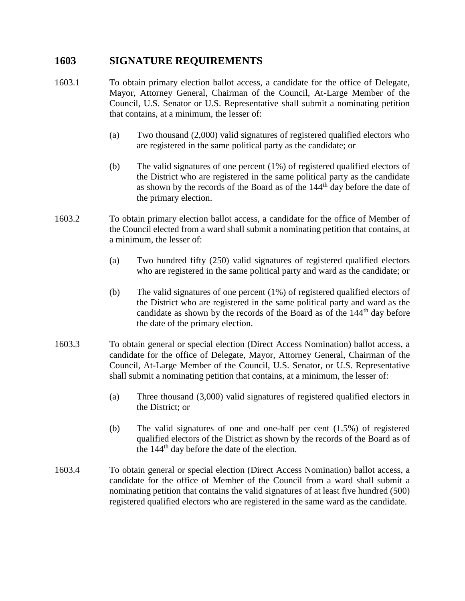#### **1603 SIGNATURE REQUIREMENTS**

- 1603.1 To obtain primary election ballot access, a candidate for the office of Delegate, Mayor, Attorney General, Chairman of the Council, At-Large Member of the Council, U.S. Senator or U.S. Representative shall submit a nominating petition that contains, at a minimum, the lesser of:
	- (a) Two thousand (2,000) valid signatures of registered qualified electors who are registered in the same political party as the candidate; or
	- (b) The valid signatures of one percent (1%) of registered qualified electors of the District who are registered in the same political party as the candidate as shown by the records of the Board as of the 144<sup>th</sup> day before the date of the primary election.
- 1603.2 To obtain primary election ballot access, a candidate for the office of Member of the Council elected from a ward shall submit a nominating petition that contains, at a minimum, the lesser of:
	- (a) Two hundred fifty (250) valid signatures of registered qualified electors who are registered in the same political party and ward as the candidate; or
	- (b) The valid signatures of one percent (1%) of registered qualified electors of the District who are registered in the same political party and ward as the candidate as shown by the records of the Board as of the 144<sup>th</sup> day before the date of the primary election.
- 1603.3 To obtain general or special election (Direct Access Nomination) ballot access, a candidate for the office of Delegate, Mayor, Attorney General, Chairman of the Council, At-Large Member of the Council, U.S. Senator, or U.S. Representative shall submit a nominating petition that contains, at a minimum, the lesser of:
	- (a) Three thousand (3,000) valid signatures of registered qualified electors in the District; or
	- (b) The valid signatures of one and one-half per cent (1.5%) of registered qualified electors of the District as shown by the records of the Board as of the 144th day before the date of the election.
- 1603.4 To obtain general or special election (Direct Access Nomination) ballot access, a candidate for the office of Member of the Council from a ward shall submit a nominating petition that contains the valid signatures of at least five hundred (500) registered qualified electors who are registered in the same ward as the candidate.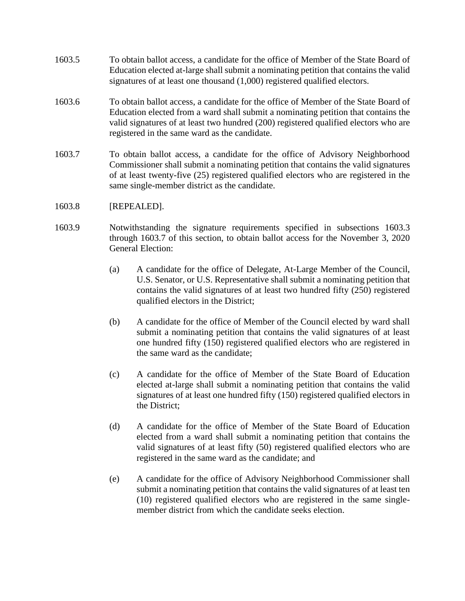- 1603.5 To obtain ballot access, a candidate for the office of Member of the State Board of Education elected at-large shall submit a nominating petition that contains the valid signatures of at least one thousand (1,000) registered qualified electors.
- 1603.6 To obtain ballot access, a candidate for the office of Member of the State Board of Education elected from a ward shall submit a nominating petition that contains the valid signatures of at least two hundred (200) registered qualified electors who are registered in the same ward as the candidate.
- 1603.7 To obtain ballot access, a candidate for the office of Advisory Neighborhood Commissioner shall submit a nominating petition that contains the valid signatures of at least twenty-five (25) registered qualified electors who are registered in the same single-member district as the candidate.
- 1603.8 [REPEALED].
- 1603.9 Notwithstanding the signature requirements specified in subsections 1603.3 through 1603.7 of this section, to obtain ballot access for the November 3, 2020 General Election:
	- (a) A candidate for the office of Delegate, At-Large Member of the Council, U.S. Senator, or U.S. Representative shall submit a nominating petition that contains the valid signatures of at least two hundred fifty (250) registered qualified electors in the District;
	- (b) A candidate for the office of Member of the Council elected by ward shall submit a nominating petition that contains the valid signatures of at least one hundred fifty (150) registered qualified electors who are registered in the same ward as the candidate;
	- (c) A candidate for the office of Member of the State Board of Education elected at-large shall submit a nominating petition that contains the valid signatures of at least one hundred fifty (150) registered qualified electors in the District;
	- (d) A candidate for the office of Member of the State Board of Education elected from a ward shall submit a nominating petition that contains the valid signatures of at least fifty (50) registered qualified electors who are registered in the same ward as the candidate; and
	- (e) A candidate for the office of Advisory Neighborhood Commissioner shall submit a nominating petition that contains the valid signatures of at least ten (10) registered qualified electors who are registered in the same singlemember district from which the candidate seeks election.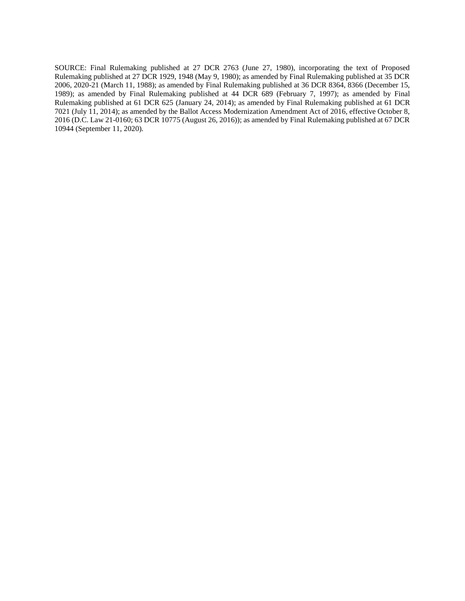SOURCE: Final Rulemaking published at 27 DCR 2763 (June 27, 1980), incorporating the text of Proposed Rulemaking published at 27 DCR 1929, 1948 (May 9, 1980); as amended by Final Rulemaking published at 35 DCR 2006, 2020-21 (March 11, 1988); as amended by Final Rulemaking published at 36 DCR 8364, 8366 (December 15, 1989); as amended by Final Rulemaking published at 44 DCR 689 (February 7, 1997); as amended by Final Rulemaking published at 61 DCR 625 (January 24, 2014); as amended by Final Rulemaking published at 61 DCR 7021 (July 11, 2014); as amended by the Ballot Access Modernization Amendment Act of 2016, effective October 8, 2016 (D.C. Law 21-0160; 63 DCR 10775 (August 26, 2016)); as amended by Final Rulemaking published at 67 DCR 10944 (September 11, 2020).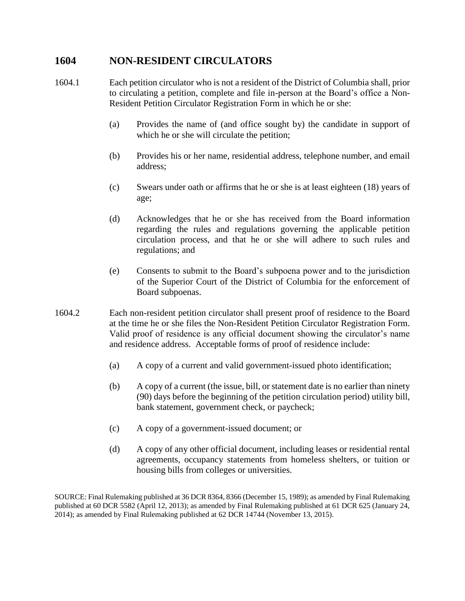#### **1604 NON-RESIDENT CIRCULATORS**

- 1604.1 Each petition circulator who is not a resident of the District of Columbia shall, prior to circulating a petition, complete and file in-person at the Board's office a Non-Resident Petition Circulator Registration Form in which he or she:
	- (a) Provides the name of (and office sought by) the candidate in support of which he or she will circulate the petition;
	- (b) Provides his or her name, residential address, telephone number, and email address;
	- (c) Swears under oath or affirms that he or she is at least eighteen (18) years of age;
	- (d) Acknowledges that he or she has received from the Board information regarding the rules and regulations governing the applicable petition circulation process, and that he or she will adhere to such rules and regulations; and
	- (e) Consents to submit to the Board's subpoena power and to the jurisdiction of the Superior Court of the District of Columbia for the enforcement of Board subpoenas.
- 1604.2 Each non-resident petition circulator shall present proof of residence to the Board at the time he or she files the Non-Resident Petition Circulator Registration Form. Valid proof of residence is any official document showing the circulator's name and residence address. Acceptable forms of proof of residence include:
	- (a) A copy of a current and valid government-issued photo identification;
	- (b) A copy of a current (the issue, bill, or statement date is no earlier than ninety (90) days before the beginning of the petition circulation period) utility bill, bank statement, government check, or paycheck;
	- (c) A copy of a government-issued document; or
	- (d) A copy of any other official document, including leases or residential rental agreements, occupancy statements from homeless shelters, or tuition or housing bills from colleges or universities.

SOURCE: Final Rulemaking published at 36 DCR 8364, 8366 (December 15, 1989); as amended by Final Rulemaking published at 60 DCR 5582 (April 12, 2013); as amended by Final Rulemaking published at 61 DCR 625 (January 24, 2014); as amended by Final Rulemaking published at 62 DCR 14744 (November 13, 2015).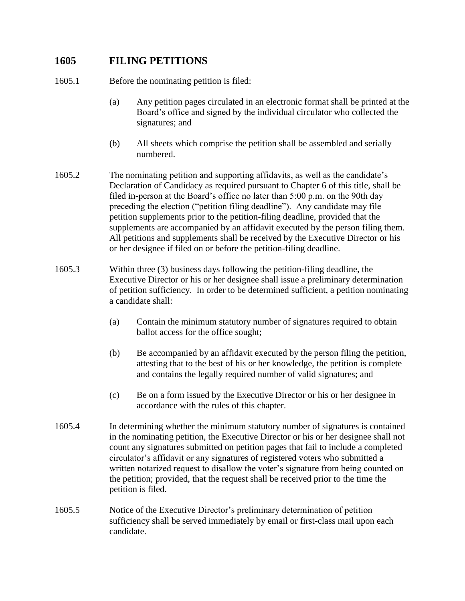## **1605 FILING PETITIONS**

1605.1 Before the nominating petition is filed:

- (a) Any petition pages circulated in an electronic format shall be printed at the Board's office and signed by the individual circulator who collected the signatures; and
- (b) All sheets which comprise the petition shall be assembled and serially numbered.
- 1605.2 The nominating petition and supporting affidavits, as well as the candidate's Declaration of Candidacy as required pursuant to Chapter 6 of this title, shall be filed in-person at the Board's office no later than 5:00 p.m. on the 90th day preceding the election ("petition filing deadline"). Any candidate may file petition supplements prior to the petition-filing deadline, provided that the supplements are accompanied by an affidavit executed by the person filing them. All petitions and supplements shall be received by the Executive Director or his or her designee if filed on or before the petition-filing deadline.
- 1605.3 Within three (3) business days following the petition-filing deadline, the Executive Director or his or her designee shall issue a preliminary determination of petition sufficiency. In order to be determined sufficient, a petition nominating a candidate shall:
	- (a) Contain the minimum statutory number of signatures required to obtain ballot access for the office sought;
	- (b) Be accompanied by an affidavit executed by the person filing the petition, attesting that to the best of his or her knowledge, the petition is complete and contains the legally required number of valid signatures; and
	- (c) Be on a form issued by the Executive Director or his or her designee in accordance with the rules of this chapter.
- 1605.4 In determining whether the minimum statutory number of signatures is contained in the nominating petition, the Executive Director or his or her designee shall not count any signatures submitted on petition pages that fail to include a completed circulator's affidavit or any signatures of registered voters who submitted a written notarized request to disallow the voter's signature from being counted on the petition; provided, that the request shall be received prior to the time the petition is filed.
- 1605.5 Notice of the Executive Director's preliminary determination of petition sufficiency shall be served immediately by email or first-class mail upon each candidate.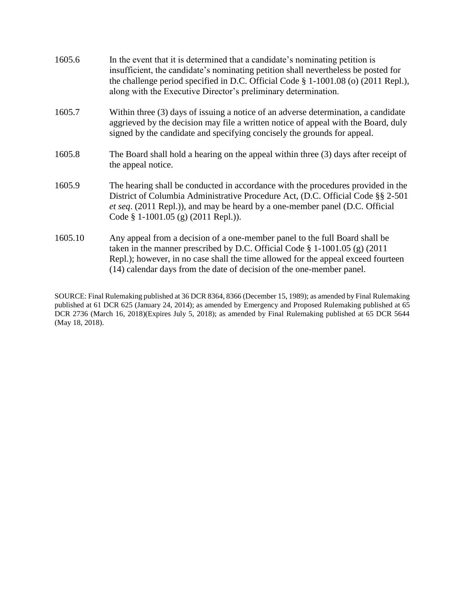| 1605.6  | In the event that it is determined that a candidate's nominating petition is<br>insufficient, the candidate's nominating petition shall nevertheless be posted for<br>the challenge period specified in D.C. Official Code $\S$ 1-1001.08 (o) (2011 Repl.),<br>along with the Executive Director's preliminary determination. |
|---------|-------------------------------------------------------------------------------------------------------------------------------------------------------------------------------------------------------------------------------------------------------------------------------------------------------------------------------|
| 1605.7  | Within three (3) days of issuing a notice of an adverse determination, a candidate<br>aggrieved by the decision may file a written notice of appeal with the Board, duly<br>signed by the candidate and specifying concisely the grounds for appeal.                                                                          |
| 1605.8  | The Board shall hold a hearing on the appeal within three (3) days after receipt of<br>the appeal notice.                                                                                                                                                                                                                     |
| 1605.9  | The hearing shall be conducted in accordance with the procedures provided in the<br>District of Columbia Administrative Procedure Act, (D.C. Official Code §§ 2-501<br><i>et seq.</i> (2011 Repl.)), and may be heard by a one-member panel (D.C. Official<br>Code § 1-1001.05 (g) $(2011 \text{ Repl.}))$ .                  |
| 1605.10 | Any appeal from a decision of a one-member panel to the full Board shall be<br>taken in the manner prescribed by D.C. Official Code $\S$ 1-1001.05 (g) (2011<br>Repl.); however, in no case shall the time allowed for the appeal exceed fourteen<br>(14) calendar days from the date of decision of the one-member panel.    |

SOURCE: Final Rulemaking published at 36 DCR 8364, 8366 (December 15, 1989); as amended by Final Rulemaking published at 61 DCR 625 (January 24, 2014); as amended by Emergency and Proposed Rulemaking published at 65 DCR 2736 (March 16, 2018)(Expires July 5, 2018); as amended by Final Rulemaking published at 65 DCR 5644 (May 18, 2018).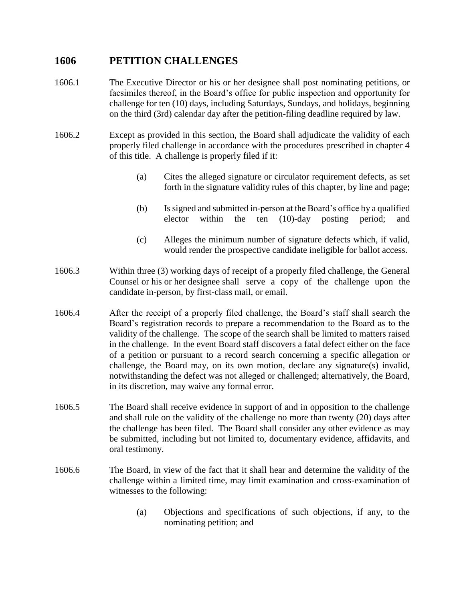#### **1606 PETITION CHALLENGES**

- 1606.1 The Executive Director or his or her designee shall post nominating petitions, or facsimiles thereof, in the Board's office for public inspection and opportunity for challenge for ten (10) days, including Saturdays, Sundays, and holidays, beginning on the third (3rd) calendar day after the petition-filing deadline required by law.
- 1606.2 Except as provided in this section, the Board shall adjudicate the validity of each properly filed challenge in accordance with the procedures prescribed in chapter 4 of this title. A challenge is properly filed if it:
	- (a) Cites the alleged signature or circulator requirement defects, as set forth in the signature validity rules of this chapter, by line and page;
	- (b) Is signed and submitted in-person at the Board's office by a qualified elector within the ten (10)-day posting period; and
	- (c) Alleges the minimum number of signature defects which, if valid, would render the prospective candidate ineligible for ballot access.
- 1606.3 Within three (3) working days of receipt of a properly filed challenge, the General Counsel or his or her designee shall serve a copy of the challenge upon the candidate in-person, by first-class mail, or email.
- 1606.4 After the receipt of a properly filed challenge, the Board's staff shall search the Board's registration records to prepare a recommendation to the Board as to the validity of the challenge. The scope of the search shall be limited to matters raised in the challenge. In the event Board staff discovers a fatal defect either on the face of a petition or pursuant to a record search concerning a specific allegation or challenge, the Board may, on its own motion, declare any signature(s) invalid, notwithstanding the defect was not alleged or challenged; alternatively, the Board, in its discretion, may waive any formal error.
- 1606.5 The Board shall receive evidence in support of and in opposition to the challenge and shall rule on the validity of the challenge no more than twenty (20) days after the challenge has been filed. The Board shall consider any other evidence as may be submitted, including but not limited to, documentary evidence, affidavits, and oral testimony.
- 1606.6 The Board, in view of the fact that it shall hear and determine the validity of the challenge within a limited time, may limit examination and cross-examination of witnesses to the following:
	- (a) Objections and specifications of such objections, if any, to the nominating petition; and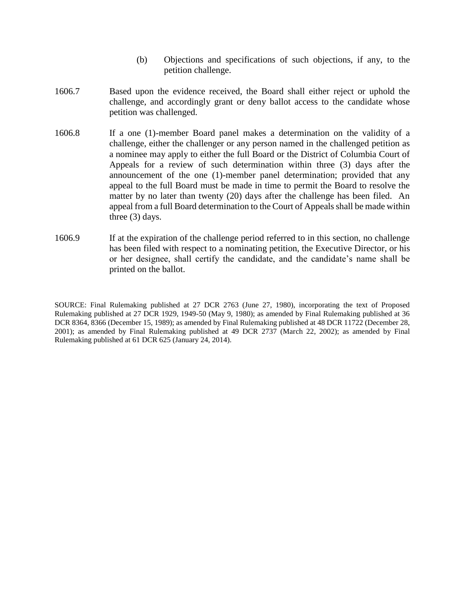- (b) Objections and specifications of such objections, if any, to the petition challenge.
- 1606.7 Based upon the evidence received, the Board shall either reject or uphold the challenge, and accordingly grant or deny ballot access to the candidate whose petition was challenged.
- 1606.8 If a one (1)-member Board panel makes a determination on the validity of a challenge, either the challenger or any person named in the challenged petition as a nominee may apply to either the full Board or the District of Columbia Court of Appeals for a review of such determination within three (3) days after the announcement of the one (1)-member panel determination; provided that any appeal to the full Board must be made in time to permit the Board to resolve the matter by no later than twenty (20) days after the challenge has been filed. An appeal from a full Board determination to the Court of Appeals shall be made within three (3) days.
- 1606.9 If at the expiration of the challenge period referred to in this section, no challenge has been filed with respect to a nominating petition, the Executive Director, or his or her designee, shall certify the candidate, and the candidate's name shall be printed on the ballot.

SOURCE: Final Rulemaking published at 27 DCR 2763 (June 27, 1980), incorporating the text of Proposed Rulemaking published at 27 DCR 1929, 1949-50 (May 9, 1980); as amended by Final Rulemaking published at 36 DCR 8364, 8366 (December 15, 1989); as amended by Final Rulemaking published at 48 DCR 11722 (December 28, 2001); as amended by Final Rulemaking published at 49 DCR 2737 (March 22, 2002); as amended by Final Rulemaking published at 61 DCR 625 (January 24, 2014).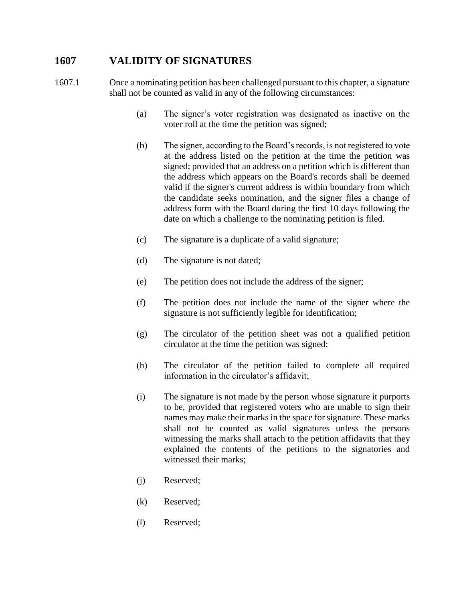## **1607 VALIDITY OF SIGNATURES**

1607.1 Once a nominating petition has been challenged pursuant to this chapter, a signature shall not be counted as valid in any of the following circumstances:

- (a) The signer's voter registration was designated as inactive on the voter roll at the time the petition was signed;
- (b) The signer, according to the Board's records, is not registered to vote at the address listed on the petition at the time the petition was signed; provided that an address on a petition which is different than the address which appears on the Board's records shall be deemed valid if the signer's current address is within boundary from which the candidate seeks nomination, and the signer files a change of address form with the Board during the first 10 days following the date on which a challenge to the nominating petition is filed.
- (c) The signature is a duplicate of a valid signature;
- (d) The signature is not dated;
- (e) The petition does not include the address of the signer;
- (f) The petition does not include the name of the signer where the signature is not sufficiently legible for identification;
- (g) The circulator of the petition sheet was not a qualified petition circulator at the time the petition was signed;
- (h) The circulator of the petition failed to complete all required information in the circulator's affidavit;
- (i) The signature is not made by the person whose signature it purports to be, provided that registered voters who are unable to sign their names may make their marks in the space for signature. These marks shall not be counted as valid signatures unless the persons witnessing the marks shall attach to the petition affidavits that they explained the contents of the petitions to the signatories and witnessed their marks;
- (j) Reserved;
- (k) Reserved;
- (l) Reserved;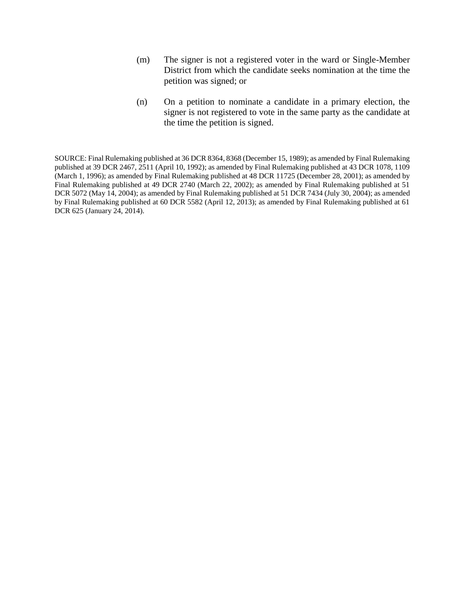- (m) The signer is not a registered voter in the ward or Single-Member District from which the candidate seeks nomination at the time the petition was signed; or
- (n) On a petition to nominate a candidate in a primary election, the signer is not registered to vote in the same party as the candidate at the time the petition is signed.

SOURCE: Final Rulemaking published at 36 DCR 8364, 8368 (December 15, 1989); as amended by Final Rulemaking published at 39 DCR 2467, 2511 (April 10, 1992); as amended by Final Rulemaking published at 43 DCR 1078, 1109 (March 1, 1996); as amended by Final Rulemaking published at 48 DCR 11725 (December 28, 2001); as amended by Final Rulemaking published at 49 DCR 2740 (March 22, 2002); as amended by Final Rulemaking published at 51 DCR 5072 (May 14, 2004); as amended by Final Rulemaking published at 51 DCR 7434 (July 30, 2004); as amended by Final Rulemaking published at 60 DCR 5582 (April 12, 2013); as amended by Final Rulemaking published at 61 DCR 625 (January 24, 2014).